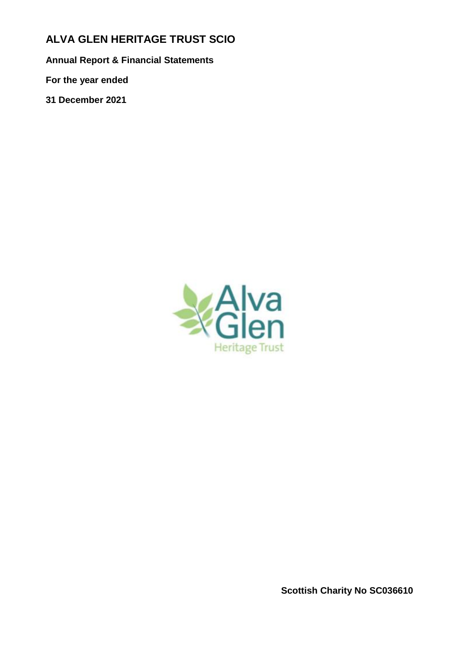# **ALVA GLEN HERITAGE TRUST SCIO**

**Annual Report & Financial Statements**

**For the year ended**

**31 December 2021**



**Scottish Charity No SC036610**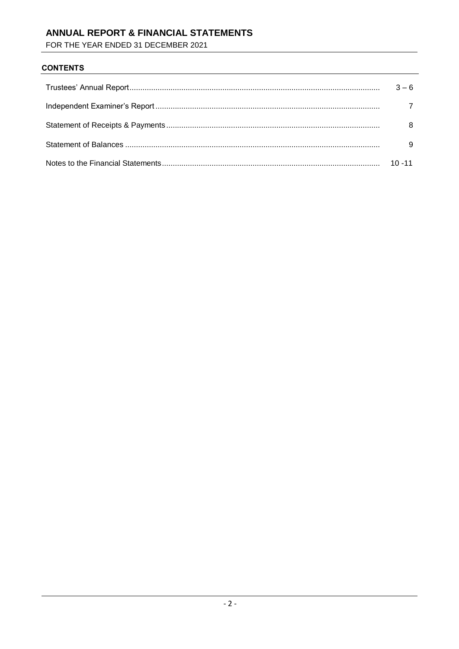## ANNUAL REPORT & FINANCIAL STATEMENTS

FOR THE YEAR ENDED 31 DECEMBER 2021

### **CONTENTS**

| $3 - 6$   |
|-----------|
|           |
| 8         |
| 9         |
| $10 - 11$ |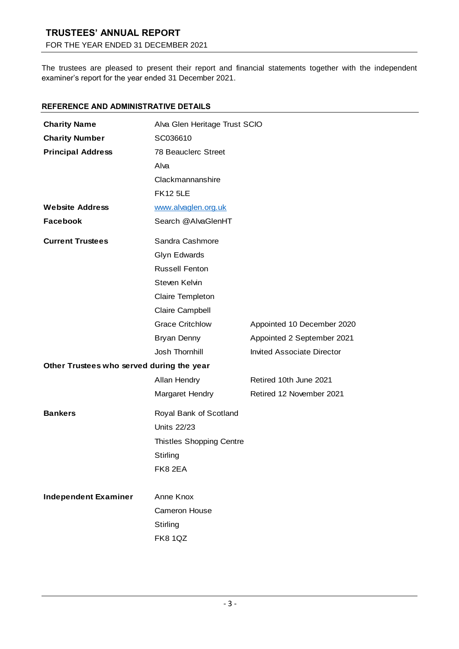# **TRUSTEES' ANNUAL REPORT**

FOR THE YEAR ENDED 31 DECEMBER 2021

The trustees are pleased to present their report and financial statements together with the independent examiner's report for the year ended 31 December 2021.

### **REFERENCE AND ADMINISTRATIVE DETAILS**

| <b>Charity Name</b>                       | Alva Glen Heritage Trust SCIO   |                                   |
|-------------------------------------------|---------------------------------|-----------------------------------|
| <b>Charity Number</b>                     | SC036610                        |                                   |
| <b>Principal Address</b>                  | 78 Beauclerc Street             |                                   |
|                                           | Alva                            |                                   |
|                                           | Clackmannanshire                |                                   |
|                                           | <b>FK12 5LE</b>                 |                                   |
| <b>Website Address</b>                    | www.alvaglen.org.uk             |                                   |
| <b>Facebook</b>                           | Search @AlvaGlenHT              |                                   |
| <b>Current Trustees</b>                   | Sandra Cashmore                 |                                   |
|                                           | Glyn Edwards                    |                                   |
|                                           | <b>Russell Fenton</b>           |                                   |
|                                           | Steven Kelvin                   |                                   |
|                                           | Claire Templeton                |                                   |
|                                           | Claire Campbell                 |                                   |
|                                           | <b>Grace Critchlow</b>          | Appointed 10 December 2020        |
|                                           | Bryan Denny                     | Appointed 2 September 2021        |
|                                           | Josh Thornhill                  | <b>Invited Associate Director</b> |
| Other Trustees who served during the year |                                 |                                   |
|                                           | Allan Hendry                    | Retired 10th June 2021            |
|                                           | Margaret Hendry                 | Retired 12 November 2021          |
| <b>Bankers</b>                            | Royal Bank of Scotland          |                                   |
|                                           | <b>Units 22/23</b>              |                                   |
|                                           | <b>Thistles Shopping Centre</b> |                                   |
|                                           | Stirling                        |                                   |
|                                           | FK8 2EA                         |                                   |
| <b>Independent Examiner</b>               | Anne Knox                       |                                   |
|                                           | Cameron House                   |                                   |
|                                           |                                 |                                   |
|                                           | Stirling                        |                                   |
|                                           | <b>FK8 1QZ</b>                  |                                   |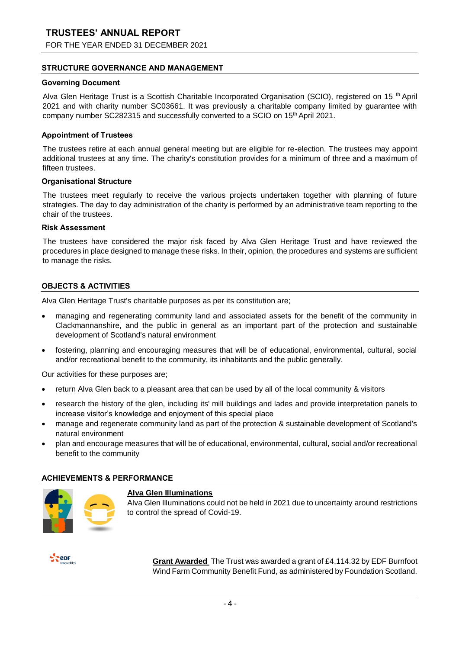FOR THE YEAR ENDED 31 DECEMBER 2021

### **STRUCTURE GOVERNANCE AND MANAGEMENT**

#### **Governing Document**

Alva Glen Heritage Trust is a Scottish Charitable Incorporated Organisation (SCIO), registered on 15<sup>th</sup> April 2021 and with charity number SC03661. It was previously a charitable company limited by guarantee with company number SC282315 and successfully converted to a SCIO on 15th April 2021.

### **Appointment of Trustees**

The trustees retire at each annual general meeting but are eligible for re-election. The trustees may appoint additional trustees at any time. The charity's constitution provides for a minimum of three and a maximum of fifteen trustees.

### **Organisational Structure**

The trustees meet regularly to receive the various projects undertaken together with planning of future strategies. The day to day administration of the charity is performed by an administrative team reporting to the chair of the trustees.

#### **Risk Assessment**

The trustees have considered the major risk faced by Alva Glen Heritage Trust and have reviewed the procedures in place designed to manage these risks. In their, opinion, the procedures and systems are sufficient to manage the risks.

### **OBJECTS & ACTIVITIES**

Alva Glen Heritage Trust's charitable purposes as per its constitution are;

- managing and regenerating community land and associated assets for the benefit of the community in Clackmannanshire, and the public in general as an important part of the protection and sustainable development of Scotland's natural environment
- fostering, planning and encouraging measures that will be of educational, environmental, cultural, social and/or recreational benefit to the community, its inhabitants and the public generally.

Our activities for these purposes are;

- return Alva Glen back to a pleasant area that can be used by all of the local community & visitors
- research the history of the glen, including its' mill buildings and lades and provide interpretation panels to increase visitor's knowledge and enjoyment of this special place
- manage and regenerate community land as part of the protection & sustainable development of Scotland's natural environment
- plan and encourage measures that will be of educational, environmental, cultural, social and/or recreational benefit to the community

### **ACHIEVEMENTS & PERFORMANCE**



### **Alva Glen Illuminations**

Alva Glen Illuminations could not be held in 2021 due to uncertainty around restrictions to control the spread of Covid-19.

**Repr** 

**Grant Awarded** The Trust was awarded a grant of £4,114.32 by EDF Burnfoot Wind Farm Community Benefit Fund, as administered by Foundation Scotland.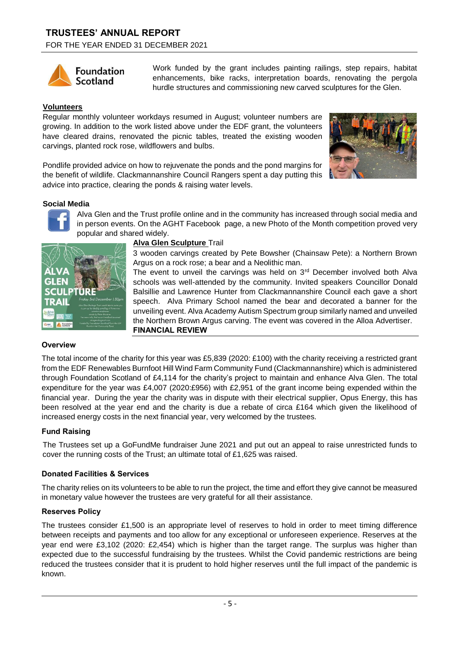

Work funded by the grant includes painting railings, step repairs, habitat enhancements, bike racks, interpretation boards, renovating the pergola hurdle structures and commissioning new carved sculptures for the Glen.

### **Volunteers**

Regular monthly volunteer workdays resumed in August; volunteer numbers are growing. In addition to the work listed above under the EDF grant, the volunteers have cleared drains, renovated the picnic tables, treated the existing wooden carvings, planted rock rose, wildflowers and bulbs.



Pondlife provided advice on how to rejuvenate the ponds and the pond margins for the benefit of wildlife. Clackmannanshire Council Rangers spent a day putting this advice into practice, clearing the ponds & raising water levels.

### **Social Media**



Alva Glen and the Trust profile online and in the community has increased through social media and in person events. On the AGHT Facebook page, a new Photo of the Month competition proved very popular and shared widely.



### **Alva Glen Sculpture** Trail

3 wooden carvings created by Pete Bowsher (Chainsaw Pete): a Northern Brown Argus on a rock rose; a bear and a Neolithic man.

The event to unveil the carvings was held on  $3<sup>rd</sup>$  December involved both Alva schools was well-attended by the community. Invited speakers Councillor Donald Balsillie and Lawrence Hunter from Clackmannanshire Council each gave a short speech. Alva Primary School named the bear and decorated a banner for the unveiling event. Alva Academy Autism Spectrum group similarly named and unveiled the Northern Brown Argus carving. The event was covered in the Alloa Advertiser. **FINANCIAL REVIEW**

### **Overview**

The total income of the charity for this year was £5,839 (2020: £100) with the charity receiving a restricted grant from the EDF Renewables Burnfoot Hill Wind Farm Community Fund (Clackmannanshire) which is administered through Foundation Scotland of £4,114 for the charity's project to maintain and enhance Alva Glen. The total expenditure for the year was £4,007 (2020:£956) with £2,951 of the grant income being expended within the financial year. During the year the charity was in dispute with their electrical supplier, Opus Energy, this has been resolved at the year end and the charity is due a rebate of circa £164 which given the likelihood of increased energy costs in the next financial year, very welcomed by the trustees.

### **Fund Raising**

The Trustees set up a GoFundMe fundraiser June 2021 and put out an appeal to raise unrestricted funds to cover the running costs of the Trust; an ultimate total of £1,625 was raised.

### **Donated Facilities & Services**

The charity relies on its volunteers to be able to run the project, the time and effort they give cannot be measured in monetary value however the trustees are very grateful for all their assistance.

### **Reserves Policy**

The trustees consider £1,500 is an appropriate level of reserves to hold in order to meet timing difference between receipts and payments and too allow for any exceptional or unforeseen experience. Reserves at the year end were £3,102 (2020: £2,454) which is higher than the target range. The surplus was higher than expected due to the successful fundraising by the trustees. Whilst the Covid pandemic restrictions are being reduced the trustees consider that it is prudent to hold higher reserves until the full impact of the pandemic is known.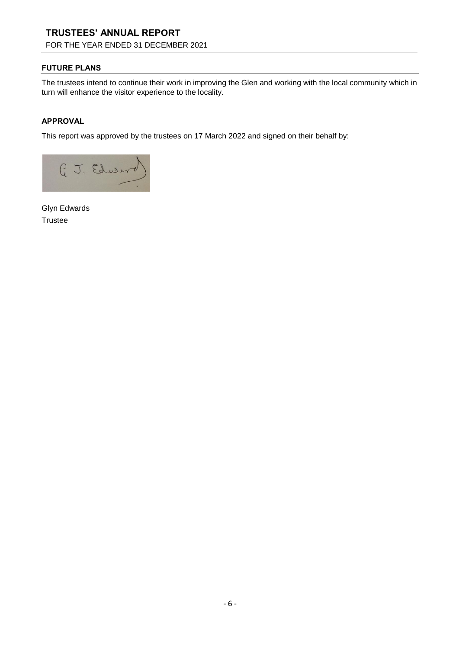# **TRUSTEES' ANNUAL REPORT**

FOR THE YEAR ENDED 31 DECEMBER 2021

### **FUTURE PLANS**

The trustees intend to continue their work in improving the Glen and working with the local community which in turn will enhance the visitor experience to the locality.

### **APPROVAL**

This report was approved by the trustees on 17 March 2022 and signed on their behalf by:



Glyn Edwards **Trustee**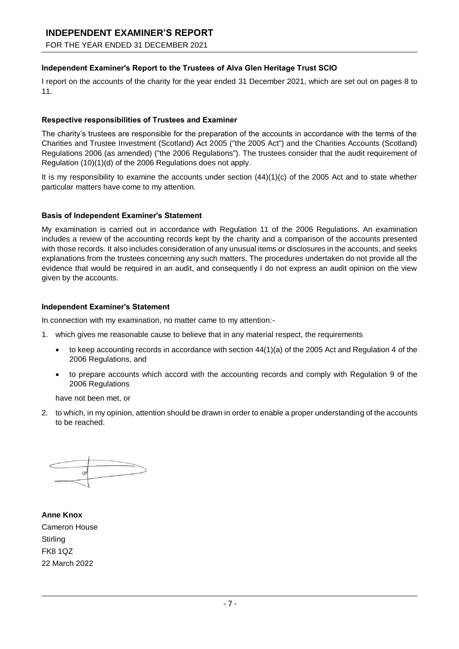### **INDEPENDENT EXAMINER'S REPORT**

FOR THE YEAR ENDED 31 DECEMBER 2021

### **Independent Examiner's Report to the Trustees of Alva Glen Heritage Trust SCIO**

I report on the accounts of the charity for the year ended 31 December 2021, which are set out on pages 8 to 11.

### **Respective responsibilities of Trustees and Examiner**

The charity's trustees are responsible for the preparation of the accounts in accordance with the terms of the Charities and Trustee Investment (Scotland) Act 2005 ("the 2005 Act") and the Charities Accounts (Scotland) Regulations 2006 (as amended) ("the 2006 Regulations"). The trustees consider that the audit requirement of Regulation (10)(1)(d) of the 2006 Regulations does not apply.

It is my responsibility to examine the accounts under section (44)(1)(c) of the 2005 Act and to state whether particular matters have come to my attention.

### **Basis of Independent Examiner's Statement**

My examination is carried out in accordance with Regulation 11 of the 2006 Regulations. An examination includes a review of the accounting records kept by the charity and a comparison of the accounts presented with those records. It also includes consideration of any unusual items or disclosures in the accounts, and seeks explanations from the trustees concerning any such matters. The procedures undertaken do not provide all the evidence that would be required in an audit, and consequently I do not express an audit opinion on the view given by the accounts.

### **Independent Examiner's Statement**

In connection with my examination, no matter came to my attention:-

- 1. which gives me reasonable cause to believe that in any material respect, the requirements
	- to keep accounting records in accordance with section 44(1)(a) of the 2005 Act and Regulation 4 of the 2006 Regulations, and
	- to prepare accounts which accord with the accounting records and comply with Regulation 9 of the 2006 Regulations

have not been met, or

2. to which, in my opinion, attention should be drawn in order to enable a proper understanding of the accounts to be reached.

**Anne Knox** Cameron House **Stirling** FK8 1QZ 22 March 2022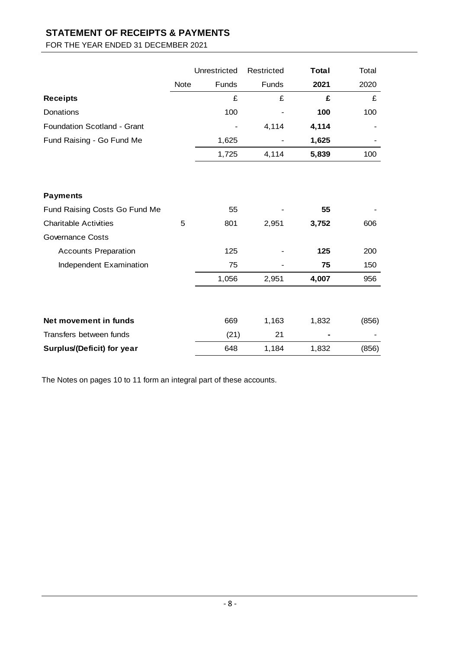# **STATEMENT OF RECEIPTS & PAYMENTS**

### FOR THE YEAR ENDED 31 DECEMBER 2021

|                               |             | Unrestricted | Restricted | <b>Total</b> | Total |
|-------------------------------|-------------|--------------|------------|--------------|-------|
|                               | <b>Note</b> | Funds        | Funds      | 2021         | 2020  |
| <b>Receipts</b>               |             | £            | £          | £            | £     |
| Donations                     |             | 100          |            | 100          | 100   |
| Foundation Scotland - Grant   |             |              | 4,114      | 4,114        |       |
| Fund Raising - Go Fund Me     |             | 1,625        |            | 1,625        |       |
|                               |             | 1,725        | 4,114      | 5,839        | 100   |
|                               |             |              |            |              |       |
| <b>Payments</b>               |             |              |            |              |       |
| Fund Raising Costs Go Fund Me |             | 55           |            | 55           |       |
| <b>Charitable Activities</b>  | 5           | 801          | 2,951      | 3,752        | 606   |
| Governance Costs              |             |              |            |              |       |
| <b>Accounts Preparation</b>   |             | 125          |            | 125          | 200   |
| Independent Examination       |             | 75           |            | 75           | 150   |
|                               |             | 1,056        | 2,951      | 4,007        | 956   |
|                               |             |              |            |              |       |
| Net movement in funds         |             | 669          | 1,163      | 1,832        | (856) |
| Transfers between funds       |             | (21)         | 21         |              |       |
| Surplus/(Deficit) for year    |             | 648          | 1,184      | 1,832        | (856) |

The Notes on pages 10 to 11 form an integral part of these accounts.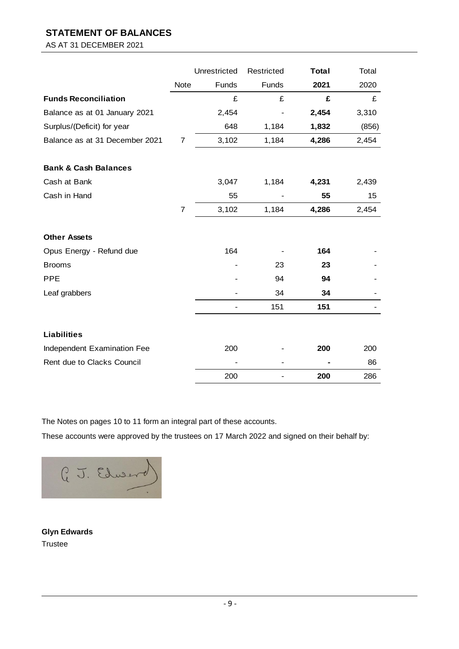### **STATEMENT OF BALANCES**

AS AT 31 DECEMBER 2021

|                                 |             | Unrestricted | Restricted | <b>Total</b> | Total |
|---------------------------------|-------------|--------------|------------|--------------|-------|
|                                 | <b>Note</b> | Funds        | Funds      | 2021         | 2020  |
| <b>Funds Reconciliation</b>     |             | £            | £          | £            | £     |
| Balance as at 01 January 2021   |             | 2,454        |            | 2,454        | 3,310 |
| Surplus/(Deficit) for year      |             | 648          | 1,184      | 1,832        | (856) |
| Balance as at 31 December 2021  | 7           | 3,102        | 1,184      | 4,286        | 2,454 |
| <b>Bank &amp; Cash Balances</b> |             |              |            |              |       |
| Cash at Bank                    |             | 3,047        | 1,184      | 4,231        | 2,439 |
| Cash in Hand                    |             | 55           |            | 55           | 15    |
|                                 | 7           | 3,102        | 1,184      | 4,286        | 2,454 |
| <b>Other Assets</b>             |             |              |            |              |       |
| Opus Energy - Refund due        |             | 164          |            | 164          |       |
| <b>Brooms</b>                   |             |              | 23         | 23           |       |
| <b>PPE</b>                      |             |              | 94         | 94           |       |
| Leaf grabbers                   |             |              | 34         | 34           |       |
|                                 |             |              | 151        | 151          |       |
| <b>Liabilities</b>              |             |              |            |              |       |
| Independent Examination Fee     |             | 200          |            | 200          | 200   |
| Rent due to Clacks Council      |             |              |            |              | 86    |
|                                 |             | 200          |            | 200          | 286   |

The Notes on pages 10 to 11 form an integral part of these accounts.

These accounts were approved by the trustees on 17 March 2022 and signed on their behalf by:



**Glyn Edwards Trustee**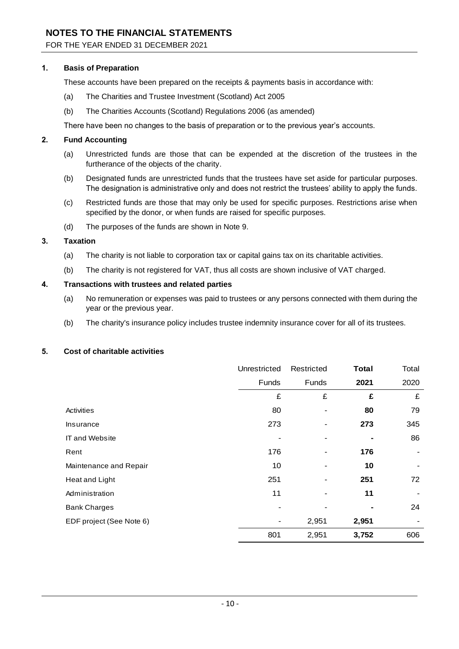### **NOTES TO THE FINANCIAL STATEMENTS**

### FOR THE YEAR ENDED 31 DECEMBER 2021

### **1. Basis of Preparation**

These accounts have been prepared on the receipts & payments basis in accordance with:

- (a) The Charities and Trustee Investment (Scotland) Act 2005
- (b) The Charities Accounts (Scotland) Regulations 2006 (as amended)

There have been no changes to the basis of preparation or to the previous year's accounts.

### **2. Fund Accounting**

- (a) Unrestricted funds are those that can be expended at the discretion of the trustees in the furtherance of the objects of the charity.
- (b) Designated funds are unrestricted funds that the trustees have set aside for particular purposes. The designation is administrative only and does not restrict the trustees' ability to apply the funds.
- (c) Restricted funds are those that may only be used for specific purposes. Restrictions arise when specified by the donor, or when funds are raised for specific purposes.
- (d) The purposes of the funds are shown in Note 9.

### **3. Taxation**

- (a) The charity is not liable to corporation tax or capital gains tax on its charitable activities.
- (b) The charity is not registered for VAT, thus all costs are shown inclusive of VAT charged.

### **4. Transactions with trustees and related parties**

- (a) No remuneration or expenses was paid to trustees or any persons connected with them during the year or the previous year.
- (b) The charity's insurance policy includes trustee indemnity insurance cover for all of its trustees.

### **5. Cost of charitable activities**

|                          | Unrestricted | Restricted     | <b>Total</b> | Total |
|--------------------------|--------------|----------------|--------------|-------|
|                          | Funds        | Funds          | 2021         | 2020  |
|                          | £            | £              | £            | £     |
| Activities               | 80           |                | 80           | 79    |
| Insurance                | 273          |                | 273          | 345   |
| <b>IT and Website</b>    |              |                |              | 86    |
| Rent                     | 176          |                | 176          |       |
| Maintenance and Repair   | 10           |                | 10           |       |
| Heat and Light           | 251          | $\blacksquare$ | 251          | 72    |
| Administration           | 11           |                | 11           |       |
| <b>Bank Charges</b>      |              |                |              | 24    |
| EDF project (See Note 6) |              | 2,951          | 2,951        |       |
|                          | 801          | 2,951          | 3,752        | 606   |